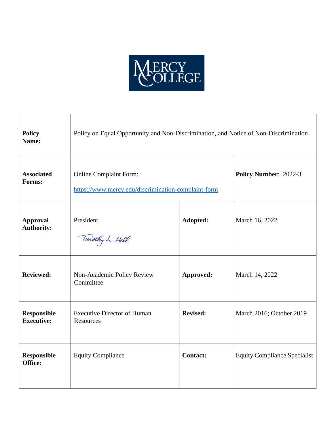

| <b>Policy</b><br>Name:                  | Policy on Equal Opportunity and Non-Discrimination, and Notice of Non-Discrimination |                 |                                     |
|-----------------------------------------|--------------------------------------------------------------------------------------|-----------------|-------------------------------------|
| <b>Associated</b><br>Forms:             | <b>Online Complaint Form:</b><br>https://www.mercy.edu/discrimination-complaint-form |                 | Policy Number: 2022-3               |
| <b>Approval</b><br><b>Authority:</b>    | President<br>Timothy L. Hall                                                         | Adopted:        | March 16, 2022                      |
| <b>Reviewed:</b>                        | Non-Academic Policy Review<br>Committee                                              | Approved:       | March 14, 2022                      |
| <b>Responsible</b><br><b>Executive:</b> | <b>Executive Director of Human</b><br><b>Resources</b>                               | <b>Revised:</b> | March 2016; October 2019            |
| <b>Responsible</b><br>Office:           | <b>Equity Compliance</b>                                                             | <b>Contact:</b> | <b>Equity Compliance Specialist</b> |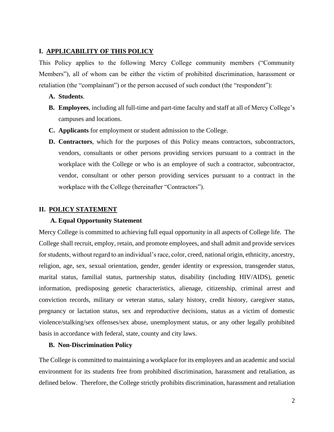# **I. APPLICABILITY OF THIS POLICY**

This Policy applies to the following Mercy College community members ("Community Members"), all of whom can be either the victim of prohibited discrimination, harassment or retaliation (the "complainant") or the person accused of such conduct (the "respondent"):

## **A. Students**.

- **B. Employees**, including all full-time and part-time faculty and staff at all of Mercy College's campuses and locations.
- **C. Applicants** for employment or student admission to the College.
- **D. Contractors**, which for the purposes of this Policy means contractors, subcontractors, vendors, consultants or other persons providing services pursuant to a contract in the workplace with the College or who is an employee of such a contractor, subcontractor, vendor, consultant or other person providing services pursuant to a contract in the workplace with the College (hereinafter "Contractors").

## **II. POLICY STATEMENT**

## **A. Equal Opportunity Statement**

Mercy College is committed to achieving full equal opportunity in all aspects of College life. The College shall recruit, employ, retain, and promote employees, and shall admit and provide services for students, without regard to an individual's race, color, creed, national origin, ethnicity, ancestry, religion, age, sex, sexual orientation, gender, gender identity or expression, transgender status, marital status, familial status, partnership status, disability (including HIV/AIDS), genetic information, predisposing genetic characteristics, alienage, citizenship, criminal arrest and conviction records, military or veteran status, salary history, credit history, caregiver status, pregnancy or lactation status, sex and reproductive decisions, status as a victim of domestic violence/stalking/sex offenses/sex abuse, unemployment status, or any other legally prohibited basis in accordance with federal, state, county and city laws.

## **B. Non-Discrimination Policy**

The College is committed to maintaining a workplace for its employees and an academic and social environment for its students free from prohibited discrimination, harassment and retaliation, as defined below. Therefore, the College strictly prohibits discrimination, harassment and retaliation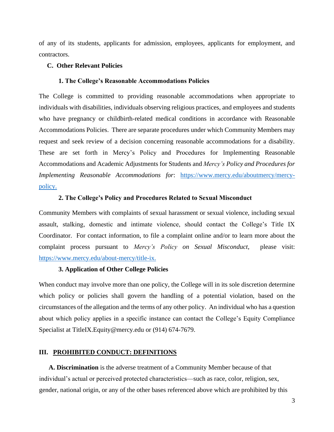of any of its students, applicants for admission, employees, applicants for employment, and contractors.

## **C. Other Relevant Policies**

#### **1. The College's Reasonable Accommodations Policies**

The College is committed to providing reasonable accommodations when appropriate to individuals with disabilities, individuals observing religious practices, and employees and students who have pregnancy or childbirth-related medical conditions in accordance with Reasonable Accommodations Policies. There are separate procedures under which Community Members may request and seek review of a decision concerning reasonable accommodations for a disability. These are set forth in Mercy's Policy and Procedures for Implementing Reasonable Accommodations and Academic Adjustments for Students and *Mercy's Policy and Procedures for Implementing Reasonable Accommodations for*: [https://www.mercy.edu/aboutmercy/mercy](https://www.mercy.edu/about-mercy/mercy-policy)[policy.](https://www.mercy.edu/about-mercy/mercy-policy) 

#### **2. The College's Policy and Procedures Related to Sexual Misconduct**

Community Members with complaints of sexual harassment or sexual violence, including sexual assault, stalking, domestic and intimate violence, should contact the College's Title IX Coordinator. For contact information, to file a complaint online and/or to learn more about the complaint process pursuant to *Mercy's Policy on Sexual Misconduct*, please visit: [https://www.mercy.edu/about-mercy/title-ix.](https://www.mercy.edu/about-mercy/title-ix)

## **3. Application of Other College Policies**

When conduct may involve more than one policy, the College will in its sole discretion determine which policy or policies shall govern the handling of a potential violation, based on the circumstances of the allegation and the terms of any other policy. An individual who has a question about which policy applies in a specific instance can contact the College's Equity Compliance Specialist at TitleIX.Equity@mercy.edu or (914) 674-7679.

## **III. PROHIBITED CONDUCT: DEFINITIONS**

 **A. Discrimination** is the adverse treatment of a Community Member because of that individual's actual or perceived protected characteristics—such as race, color, religion, sex, gender, national origin, or any of the other bases referenced above which are prohibited by this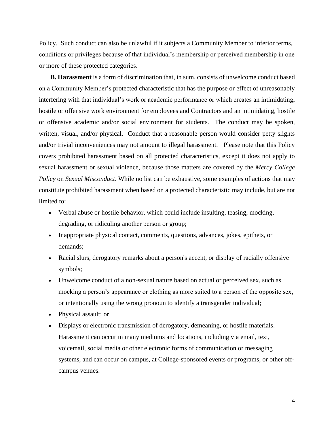Policy. Such conduct can also be unlawful if it subjects a Community Member to inferior terms, conditions or privileges because of that individual's membership or perceived membership in one or more of these protected categories.

 **B. Harassment** is a form of discrimination that, in sum, consists of unwelcome conduct based on a Community Member's protected characteristic that has the purpose or effect of unreasonably interfering with that individual's work or academic performance or which creates an intimidating, hostile or offensive work environment for employees and Contractors and an intimidating, hostile or offensive academic and/or social environment for students. The conduct may be spoken, written, visual, and/or physical. Conduct that a reasonable person would consider petty slights and/or trivial inconveniences may not amount to illegal harassment. Please note that this Policy covers prohibited harassment based on all protected characteristics, except it does not apply to sexual harassment or sexual violence, because those matters are covered by the *Mercy College Policy* on *Sexual Misconduct*. While no list can be exhaustive, some examples of actions that may constitute prohibited harassment when based on a protected characteristic may include, but are not limited to:

- Verbal abuse or hostile behavior, which could include insulting, teasing, mocking, degrading, or ridiculing another person or group;
- Inappropriate physical contact, comments, questions, advances, jokes, epithets, or demands;
- Racial slurs, derogatory remarks about a person's accent, or display of racially offensive symbols;
- Unwelcome conduct of a non-sexual nature based on actual or perceived sex, such as mocking a person's appearance or clothing as more suited to a person of the opposite sex, or intentionally using the wrong pronoun to identify a transgender individual;
- Physical assault; or
- Displays or electronic transmission of derogatory, demeaning, or hostile materials. Harassment can occur in many mediums and locations, including via email, text, voicemail, social media or other electronic forms of communication or messaging systems, and can occur on campus, at College-sponsored events or programs, or other offcampus venues.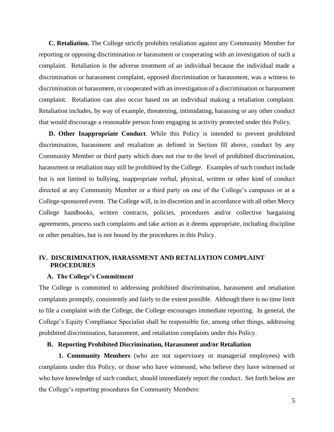**C. Retaliation.** The College strictly prohibits retaliation against any Community Member for reporting or opposing discrimination or harassment or cooperating with an investigation of such a complaint. Retaliation is the adverse treatment of an individual because the individual made a discrimination or harassment complaint, opposed discrimination or harassment, was a witness to discrimination or harassment, or cooperated with an investigation of a discrimination or harassment complaint. Retaliation can also occur based on an individual making a retaliation complaint. Retaliation includes, by way of example, threatening, intimidating, harassing or any other conduct that would discourage a reasonable person from engaging in activity protected under this Policy.

 **D. Other Inappropriate Conduct**. While this Policy is intended to prevent prohibited discrimination, harassment and retaliation as defined in Section III above, conduct by any Community Member or third party which does not rise to the level of prohibited discrimination, harassment or retaliation may still be prohibited by the College. Examples of such conduct include but is not limited to bullying, inappropriate verbal, physical, written or other kind of conduct directed at any Community Member or a third party on one of the College's campuses or at a College-sponsored event. The College will, in its discretion and in accordance with all other Mercy College handbooks, written contracts, policies, procedures and/or collective bargaining agreements, process such complaints and take action as it deems appropriate, including discipline or other penalties, but is not bound by the procedures in this Policy.

## **IV. DISCRIMINATION, HARASSMENT AND RETALIATION COMPLAINT PROCEDURES**

#### **A. The College's Commitment**

The College is committed to addressing prohibited discrimination, harassment and retaliation complaints promptly, consistently and fairly to the extent possible. Although there is no time limit to file a complaint with the College, the College encourages immediate reporting. In general, the College's Equity Compliance Specialist shall be responsible for, among other things, addressing prohibited discrimination, harassment, and retaliation complaints under this Policy.

#### **B. Reporting Prohibited Discrimination, Harassment and/or Retaliation**

**1. Community Members** (who are not supervisory or managerial employees) with complaints under this Policy, or those who have witnessed, who believe they have witnessed or who have knowledge of such conduct, should immediately report the conduct. Set forth below are the College's reporting procedures for Community Members: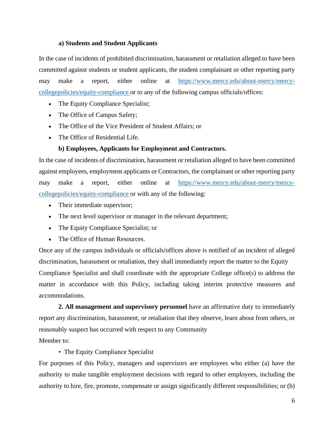# **a) Students and Student Applicants**

In the case of incidents of prohibited discrimination, harassment or retaliation alleged to have been committed against students or student applicants, the student complainant or other reporting party may make a report, either online at [https://www.mercy.edu/about-mercy/mercy](https://www.mercy.edu/about-mercy/mercy-college-policies/equity-compliance)[collegepolicies/equity-compliance](https://www.mercy.edu/about-mercy/mercy-college-policies/equity-compliance) [o](https://www.mercy.edu/about-mercy/mercy-college-policies/equity-compliance)r to any of the following campus officials/offices:

- The Equity Compliance Specialist;
- The Office of Campus Safety;
- The Office of the Vice President of Student Affairs; or
- The Office of Residential Life.

## **b) Employees, Applicants for Employment and Contractors.**

In the case of incidents of discrimination, harassment or retaliation alleged to have been committed against employees, employment applicants or Contractors, the complainant or other reporting party may make a report, either online at [https://www.mercy.edu/about-mercy/mercy](https://www.mercy.edu/about-mercy/mercy-college-policies/equity-compliance)[collegepolicies/equity-compliance](https://www.mercy.edu/about-mercy/mercy-college-policies/equity-compliance) [o](https://www.mercy.edu/about-mercy/mercy-college-policies/equity-compliance)r with any of the following:

- Their immediate supervisor;
- The next level supervisor or manager in the relevant department;
- The Equity Compliance Specialist; or
- The Office of Human Resources.

Once any of the campus individuals or officials/offices above is notified of an incident of alleged discrimination, harassment or retaliation, they shall immediately report the matter to the Equity Compliance Specialist and shall coordinate with the appropriate College office(s) to address the matter in accordance with this Policy, including taking interim protective measures and accommodations.

**2. All management and supervisory personnel** have an affirmative duty to immediately report any discrimination, harassment, or retaliation that they observe, learn about from others, or reasonably suspect has occurred with respect to any Community Member to:

## • The Equity Compliance Specialist

For purposes of this Policy, managers and supervisors are employees who either (a) have the authority to make tangible employment decisions with regard to other employees, including the authority to hire, fire, promote, compensate or assign significantly different responsibilities; or (b)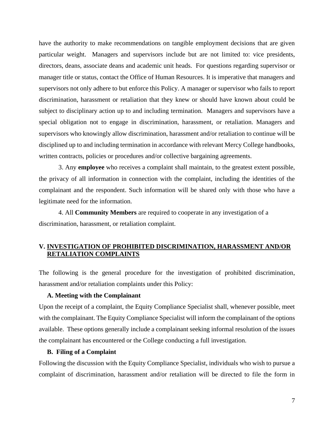have the authority to make recommendations on tangible employment decisions that are given particular weight. Managers and supervisors include but are not limited to: vice presidents, directors, deans, associate deans and academic unit heads. For questions regarding supervisor or manager title or status, contact the Office of Human Resources. It is imperative that managers and supervisors not only adhere to but enforce this Policy. A manager or supervisor who fails to report discrimination, harassment or retaliation that they knew or should have known about could be subject to disciplinary action up to and including termination. Managers and supervisors have a special obligation not to engage in discrimination, harassment, or retaliation. Managers and supervisors who knowingly allow discrimination, harassment and/or retaliation to continue will be disciplined up to and including termination in accordance with relevant Mercy College handbooks, written contracts, policies or procedures and/or collective bargaining agreements.

3. Any **employee** who receives a complaint shall maintain, to the greatest extent possible, the privacy of all information in connection with the complaint, including the identities of the complainant and the respondent. Such information will be shared only with those who have a legitimate need for the information.

4. All **Community Members** are required to cooperate in any investigation of a discrimination, harassment, or retaliation complaint.

# **V. INVESTIGATION OF PROHIBITED DISCRIMINATION, HARASSMENT AND/OR RETALIATION COMPLAINTS**

The following is the general procedure for the investigation of prohibited discrimination, harassment and/or retaliation complaints under this Policy:

### **A. Meeting with the Complainant**

Upon the receipt of a complaint, the Equity Compliance Specialist shall, whenever possible, meet with the complainant. The Equity Compliance Specialist will inform the complainant of the options available. These options generally include a complainant seeking informal resolution of the issues the complainant has encountered or the College conducting a full investigation.

## **B. Filing of a Complaint**

Following the discussion with the Equity Compliance Specialist, individuals who wish to pursue a complaint of discrimination, harassment and/or retaliation will be directed to file the form in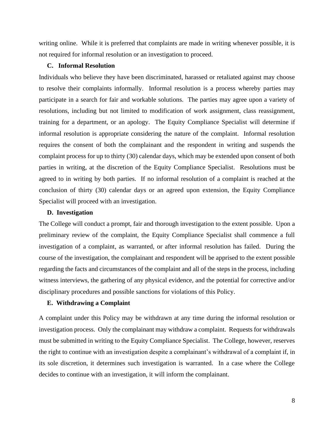writing online. While it is preferred that complaints are made in writing whenever possible, it is not required for informal resolution or an investigation to proceed.

### **C. Informal Resolution**

Individuals who believe they have been discriminated, harassed or retaliated against may choose to resolve their complaints informally. Informal resolution is a process whereby parties may participate in a search for fair and workable solutions. The parties may agree upon a variety of resolutions, including but not limited to modification of work assignment, class reassignment, training for a department, or an apology. The Equity Compliance Specialist will determine if informal resolution is appropriate considering the nature of the complaint. Informal resolution requires the consent of both the complainant and the respondent in writing and suspends the complaint process for up to thirty (30) calendar days, which may be extended upon consent of both parties in writing, at the discretion of the Equity Compliance Specialist. Resolutions must be agreed to in writing by both parties. If no informal resolution of a complaint is reached at the conclusion of thirty (30) calendar days or an agreed upon extension, the Equity Compliance Specialist will proceed with an investigation.

#### **D. Investigation**

The College will conduct a prompt, fair and thorough investigation to the extent possible. Upon a preliminary review of the complaint, the Equity Compliance Specialist shall commence a full investigation of a complaint, as warranted, or after informal resolution has failed. During the course of the investigation, the complainant and respondent will be apprised to the extent possible regarding the facts and circumstances of the complaint and all of the steps in the process, including witness interviews, the gathering of any physical evidence, and the potential for corrective and/or disciplinary procedures and possible sanctions for violations of this Policy.

# **E. Withdrawing a Complaint**

A complaint under this Policy may be withdrawn at any time during the informal resolution or investigation process. Only the complainant may withdraw a complaint. Requests for withdrawals must be submitted in writing to the Equity Compliance Specialist. The College, however, reserves the right to continue with an investigation despite a complainant's withdrawal of a complaint if, in its sole discretion, it determines such investigation is warranted. In a case where the College decides to continue with an investigation, it will inform the complainant.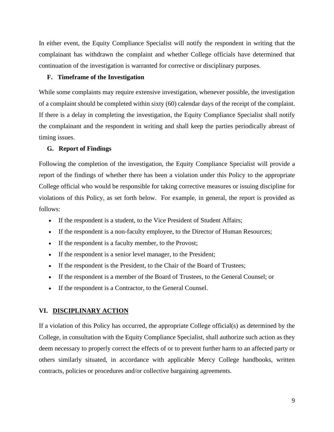In either event, the Equity Compliance Specialist will notify the respondent in writing that the complainant has withdrawn the complaint and whether College officials have determined that continuation of the investigation is warranted for corrective or disciplinary purposes.

## **F. Timeframe of the Investigation**

While some complaints may require extensive investigation, whenever possible, the investigation of a complaint should be completed within sixty (60) calendar days of the receipt of the complaint. If there is a delay in completing the investigation, the Equity Compliance Specialist shall notify the complainant and the respondent in writing and shall keep the parties periodically abreast of timing issues.

## **G. Report of Findings**

Following the completion of the investigation, the Equity Compliance Specialist will provide a report of the findings of whether there has been a violation under this Policy to the appropriate College official who would be responsible for taking corrective measures or issuing discipline for violations of this Policy, as set forth below. For example, in general, the report is provided as follows:

- If the respondent is a student, to the Vice President of Student Affairs;
- If the respondent is a non-faculty employee, to the Director of Human Resources;
- If the respondent is a faculty member, to the Provost;
- If the respondent is a senior level manager, to the President;
- If the respondent is the President, to the Chair of the Board of Trustees;
- If the respondent is a member of the Board of Trustees, to the General Counsel; or
- If the respondent is a Contractor, to the General Counsel.

#### **VI. DISCIPLINARY ACTION**

If a violation of this Policy has occurred, the appropriate College official(s) as determined by the College, in consultation with the Equity Compliance Specialist, shall authorize such action as they deem necessary to properly correct the effects of or to prevent further harm to an affected party or others similarly situated, in accordance with applicable Mercy College handbooks, written contracts, policies or procedures and/or collective bargaining agreements.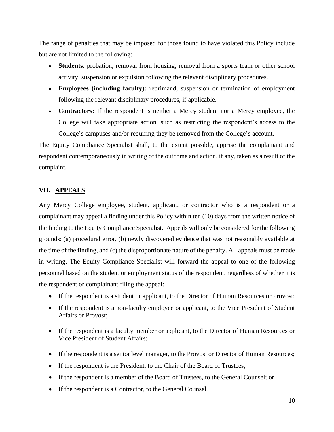The range of penalties that may be imposed for those found to have violated this Policy include but are not limited to the following:

- **Students**: probation, removal from housing, removal from a sports team or other school activity, suspension or expulsion following the relevant disciplinary procedures.
- **Employees (including faculty):** reprimand, suspension or termination of employment following the relevant disciplinary procedures, if applicable.
- **Contractors:** If the respondent is neither a Mercy student nor a Mercy employee, the College will take appropriate action, such as restricting the respondent's access to the College's campuses and/or requiring they be removed from the College's account.

The Equity Compliance Specialist shall, to the extent possible, apprise the complainant and respondent contemporaneously in writing of the outcome and action, if any, taken as a result of the complaint.

## **VII. APPEALS**

Any Mercy College employee, student, applicant, or contractor who is a respondent or a complainant may appeal a finding under this Policy within ten (10) days from the written notice of the finding to the Equity Compliance Specialist. Appeals will only be considered for the following grounds: (a) procedural error, (b) newly discovered evidence that was not reasonably available at the time of the finding, and (c) the disproportionate nature of the penalty. All appeals must be made in writing. The Equity Compliance Specialist will forward the appeal to one of the following personnel based on the student or employment status of the respondent, regardless of whether it is the respondent or complainant filing the appeal:

- If the respondent is a student or applicant, to the Director of Human Resources or Provost;
- If the respondent is a non-faculty employee or applicant, to the Vice President of Student Affairs or Provost;
- If the respondent is a faculty member or applicant, to the Director of Human Resources or Vice President of Student Affairs;
- If the respondent is a senior level manager, to the Provost or Director of Human Resources;
- If the respondent is the President, to the Chair of the Board of Trustees;
- If the respondent is a member of the Board of Trustees, to the General Counsel; or
- If the respondent is a Contractor, to the General Counsel.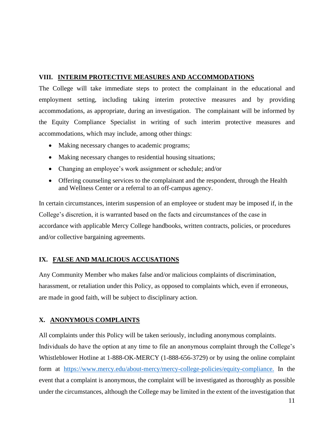# **VIII. INTERIM PROTECTIVE MEASURES AND ACCOMMODATIONS**

The College will take immediate steps to protect the complainant in the educational and employment setting, including taking interim protective measures and by providing accommodations, as appropriate, during an investigation. The complainant will be informed by the Equity Compliance Specialist in writing of such interim protective measures and accommodations, which may include, among other things:

- Making necessary changes to academic programs;
- Making necessary changes to residential housing situations;
- Changing an employee's work assignment or schedule; and/or
- Offering counseling services to the complainant and the respondent, through the Health and Wellness Center or a referral to an off-campus agency.

In certain circumstances, interim suspension of an employee or student may be imposed if, in the College's discretion, it is warranted based on the facts and circumstances of the case in accordance with applicable Mercy College handbooks, written contracts, policies, or procedures and/or collective bargaining agreements.

# **IX. FALSE AND MALICIOUS ACCUSATIONS**

Any Community Member who makes false and/or malicious complaints of discrimination, harassment, or retaliation under this Policy, as opposed to complaints which, even if erroneous, are made in good faith, will be subject to disciplinary action.

# **X. ANONYMOUS COMPLAINTS**

All complaints under this Policy will be taken seriously, including anonymous complaints.

Individuals do have the option at any time to file an anonymous complaint through the College's Whistleblower Hotline at 1-888-OK-MERCY (1-888-656-3729) or by using the online complaint form at [https://www.mercy.edu/about-mercy/mercy-college-policies/equity-compliance.](https://www.mercy.edu/about-mercy/mercy-college-policies/equity-compliance) In the event that a complaint is anonymous, the complaint will be investigated as thoroughly as possible under the circumstances, although the College may be limited in the extent of the investigation that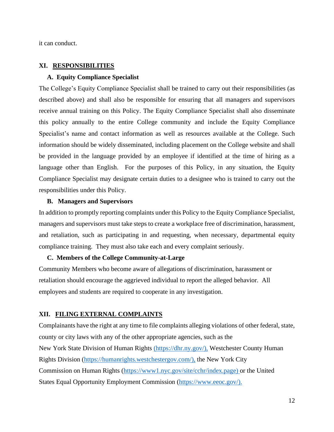it can conduct.

## **XI. RESPONSIBILITIES**

#### **A. Equity Compliance Specialist**

The College's Equity Compliance Specialist shall be trained to carry out their responsibilities (as described above) and shall also be responsible for ensuring that all managers and supervisors receive annual training on this Policy. The Equity Compliance Specialist shall also disseminate this policy annually to the entire College community and include the Equity Compliance Specialist's name and contact information as well as resources available at the College. Such information should be widely disseminated, including placement on the College website and shall be provided in the language provided by an employee if identified at the time of hiring as a language other than English. For the purposes of this Policy, in any situation, the Equity Compliance Specialist may designate certain duties to a designee who is trained to carry out the responsibilities under this Policy.

### **B. Managers and Supervisors**

In addition to promptly reporting complaints under this Policy to the Equity Compliance Specialist, managers and supervisors must take steps to create a workplace free of discrimination, harassment, and retaliation, such as participating in and requesting, when necessary, departmental equity compliance training. They must also take each and every complaint seriously.

#### **C. Members of the College Community-at-Large**

Community Members who become aware of allegations of discrimination, harassment or retaliation should encourage the aggrieved individual to report the alleged behavior. All employees and students are required to cooperate in any investigation.

#### **XII. FILING EXTERNAL COMPLAINTS**

Complainants have the right at any time to file complaints alleging violations of other federal, state, county or city laws with any of the other appropriate agencies, such as the New York State Division of Human Rights [\(https://dhr.ny.gov/\),](https://dhr.ny.gov/) Westchester County Human Rights Division [\(https://humanrights.westchestergov.com/\),](https://humanrights.westchestergov.com/) the New York City Commission on Human Rights [\(https://www1.nyc.gov/site/cchr/index.page\) o](https://www1.nyc.gov/site/cchr/index.page)r the United States Equal Opportunity Employment Commission [\(https://www.eeoc.gov/\).](https://www.eeoc.gov/)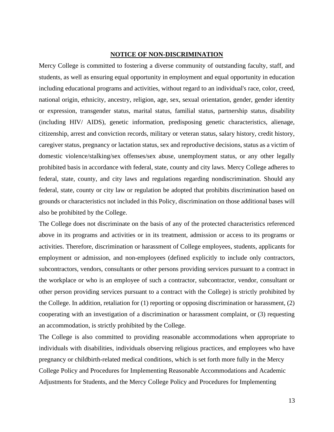#### **NOTICE OF NON-DISCRIMINATION**

Mercy College is committed to fostering a diverse community of outstanding faculty, staff, and students, as well as ensuring equal opportunity in employment and equal opportunity in education including educational programs and activities, without regard to an individual's race, color, creed, national origin, ethnicity, ancestry, religion, age, sex, sexual orientation, gender, gender identity or expression, transgender status, marital status, familial status, partnership status, disability (including HIV/ AIDS), genetic information, predisposing genetic characteristics, alienage, citizenship, arrest and conviction records, military or veteran status, salary history, credit history, caregiver status, pregnancy or lactation status, sex and reproductive decisions, status as a victim of domestic violence/stalking/sex offenses/sex abuse, unemployment status, or any other legally prohibited basis in accordance with federal, state, county and city laws. Mercy College adheres to federal, state, county, and city laws and regulations regarding nondiscrimination. Should any federal, state, county or city law or regulation be adopted that prohibits discrimination based on grounds or characteristics not included in this Policy, discrimination on those additional bases will also be prohibited by the College.

The College does not discriminate on the basis of any of the protected characteristics referenced above in its programs and activities or in its treatment, admission or access to its programs or activities. Therefore, discrimination or harassment of College employees, students, applicants for employment or admission, and non-employees (defined explicitly to include only contractors, subcontractors, vendors, consultants or other persons providing services pursuant to a contract in the workplace or who is an employee of such a contractor, subcontractor, vendor, consultant or other person providing services pursuant to a contract with the College) is strictly prohibited by the College. In addition, retaliation for (1) reporting or opposing discrimination or harassment, (2) cooperating with an investigation of a discrimination or harassment complaint, or (3) requesting an accommodation, is strictly prohibited by the College.

The College is also committed to providing reasonable accommodations when appropriate to individuals with disabilities, individuals observing religious practices, and employees who have pregnancy or childbirth-related medical conditions, which is set forth more fully in the Mercy College Policy and Procedures for Implementing Reasonable Accommodations and Academic Adjustments for Students, and the Mercy College Policy and Procedures for Implementing